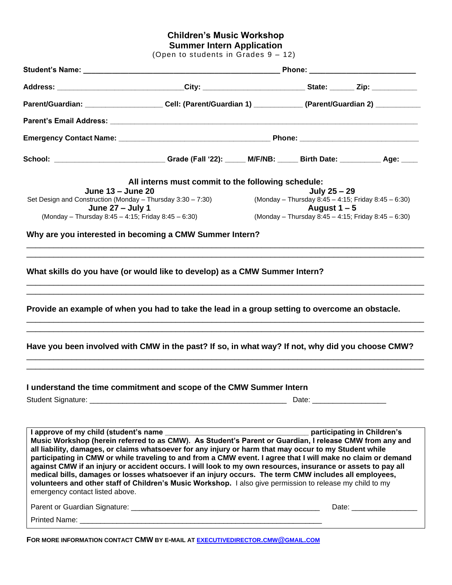# **Children's Music Workshop**

**Summer Intern Application**

(Open to students in Grades 9 – 12)

| Address: ______________________________City: ________________________State: ______ Zip: ___________                                                                                                                                                                                                                                                                                                                                                                                                                                                                                                                                                                                                                                                                                                                                                                                                                                                                                                                                      |                                                                                                               |  |                                                                                                                                                                                                                                |                             |  |
|------------------------------------------------------------------------------------------------------------------------------------------------------------------------------------------------------------------------------------------------------------------------------------------------------------------------------------------------------------------------------------------------------------------------------------------------------------------------------------------------------------------------------------------------------------------------------------------------------------------------------------------------------------------------------------------------------------------------------------------------------------------------------------------------------------------------------------------------------------------------------------------------------------------------------------------------------------------------------------------------------------------------------------------|---------------------------------------------------------------------------------------------------------------|--|--------------------------------------------------------------------------------------------------------------------------------------------------------------------------------------------------------------------------------|-----------------------------|--|
|                                                                                                                                                                                                                                                                                                                                                                                                                                                                                                                                                                                                                                                                                                                                                                                                                                                                                                                                                                                                                                          | Parent/Guardian: _____________________Cell: (Parent/Guardian 1) ____________ (Parent/Guardian 2) ____________ |  |                                                                                                                                                                                                                                |                             |  |
|                                                                                                                                                                                                                                                                                                                                                                                                                                                                                                                                                                                                                                                                                                                                                                                                                                                                                                                                                                                                                                          |                                                                                                               |  |                                                                                                                                                                                                                                |                             |  |
|                                                                                                                                                                                                                                                                                                                                                                                                                                                                                                                                                                                                                                                                                                                                                                                                                                                                                                                                                                                                                                          |                                                                                                               |  |                                                                                                                                                                                                                                |                             |  |
| School: ______________________________Grade (Fall '22): _____ M/F/NB: _____ Birth Date: __________ Age: ____                                                                                                                                                                                                                                                                                                                                                                                                                                                                                                                                                                                                                                                                                                                                                                                                                                                                                                                             |                                                                                                               |  |                                                                                                                                                                                                                                |                             |  |
|                                                                                                                                                                                                                                                                                                                                                                                                                                                                                                                                                                                                                                                                                                                                                                                                                                                                                                                                                                                                                                          | All interns must commit to the following schedule:                                                            |  |                                                                                                                                                                                                                                |                             |  |
| June 13 - June 20                                                                                                                                                                                                                                                                                                                                                                                                                                                                                                                                                                                                                                                                                                                                                                                                                                                                                                                                                                                                                        |                                                                                                               |  | July 25 - 29                                                                                                                                                                                                                   |                             |  |
| Set Design and Construction (Monday – Thursday 3:30 – 7:30)                                                                                                                                                                                                                                                                                                                                                                                                                                                                                                                                                                                                                                                                                                                                                                                                                                                                                                                                                                              |                                                                                                               |  | (Monday - Thursday 8:45 - 4:15; Friday 8:45 - 6:30)                                                                                                                                                                            |                             |  |
| June 27 - July 1<br>(Monday – Thursday 8:45 – 4:15; Friday 8:45 – 6:30)                                                                                                                                                                                                                                                                                                                                                                                                                                                                                                                                                                                                                                                                                                                                                                                                                                                                                                                                                                  |                                                                                                               |  | August $1 - 5$<br>(Monday - Thursday 8:45 - 4:15; Friday 8:45 - 6:30)                                                                                                                                                          |                             |  |
|                                                                                                                                                                                                                                                                                                                                                                                                                                                                                                                                                                                                                                                                                                                                                                                                                                                                                                                                                                                                                                          |                                                                                                               |  |                                                                                                                                                                                                                                |                             |  |
| Why are you interested in becoming a CMW Summer Intern?                                                                                                                                                                                                                                                                                                                                                                                                                                                                                                                                                                                                                                                                                                                                                                                                                                                                                                                                                                                  |                                                                                                               |  |                                                                                                                                                                                                                                |                             |  |
| What skills do you have (or would like to develop) as a CMW Summer Intern?                                                                                                                                                                                                                                                                                                                                                                                                                                                                                                                                                                                                                                                                                                                                                                                                                                                                                                                                                               |                                                                                                               |  |                                                                                                                                                                                                                                |                             |  |
|                                                                                                                                                                                                                                                                                                                                                                                                                                                                                                                                                                                                                                                                                                                                                                                                                                                                                                                                                                                                                                          |                                                                                                               |  |                                                                                                                                                                                                                                |                             |  |
|                                                                                                                                                                                                                                                                                                                                                                                                                                                                                                                                                                                                                                                                                                                                                                                                                                                                                                                                                                                                                                          |                                                                                                               |  |                                                                                                                                                                                                                                |                             |  |
|                                                                                                                                                                                                                                                                                                                                                                                                                                                                                                                                                                                                                                                                                                                                                                                                                                                                                                                                                                                                                                          |                                                                                                               |  | Date: the contract of the contract of the contract of the contract of the contract of the contract of the contract of the contract of the contract of the contract of the contract of the contract of the contract of the cont |                             |  |
| Provide an example of when you had to take the lead in a group setting to overcome an obstacle.<br>Have you been involved with CMW in the past? If so, in what way? If not, why did you choose CMW?<br>I understand the time commitment and scope of the CMW Summer Intern<br>I approve of my child (student's name ______<br>Music Workshop (herein referred to as CMW). As Student's Parent or Guardian, I release CMW from any and<br>all liability, damages, or claims whatsoever for any injury or harm that may occur to my Student while<br>participating in CMW or while traveling to and from a CMW event. I agree that I will make no claim or demand<br>against CMW if an injury or accident occurs. I will look to my own resources, insurance or assets to pay all<br>medical bills, damages or losses whatsoever if an injury occurs. The term CMW includes all employees,<br>volunteers and other staff of Children's Music Workshop. I also give permission to release my child to my<br>emergency contact listed above. |                                                                                                               |  |                                                                                                                                                                                                                                | participating in Children's |  |
|                                                                                                                                                                                                                                                                                                                                                                                                                                                                                                                                                                                                                                                                                                                                                                                                                                                                                                                                                                                                                                          |                                                                                                               |  |                                                                                                                                                                                                                                |                             |  |

**FOR MORE INFORMATION CONTACT CMW BY E-MAIL A[T EXECUTIVEDIRECTOR](mailto:executivedirector.cmw@gmail.com).CMW@GMAIL.COM**